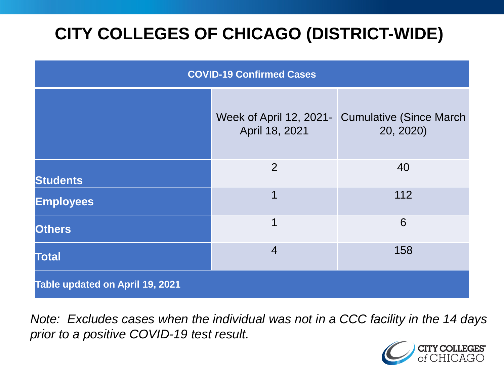# **CITY COLLEGES OF CHICAGO (DISTRICT-WIDE)**

| <b>COVID-19 Confirmed Cases</b> |                                           |                                              |
|---------------------------------|-------------------------------------------|----------------------------------------------|
|                                 | Week of April 12, 2021-<br>April 18, 2021 | <b>Cumulative (Since March)</b><br>20, 2020) |
| <b>Students</b>                 | $\overline{2}$                            | 40                                           |
| <b>Employees</b>                | 1                                         | 112                                          |
| <b>Others</b>                   | 1                                         | 6                                            |
| <b>Total</b>                    | $\overline{4}$                            | 158                                          |
| Table updated on April 19, 2021 |                                           |                                              |

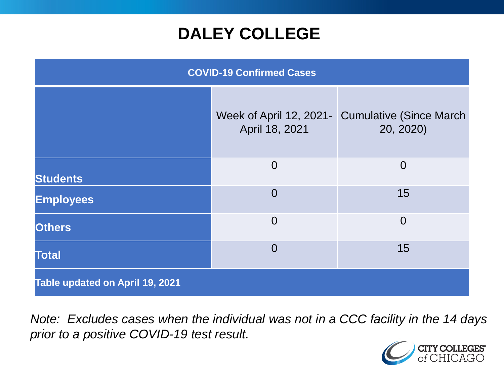# **DALEY COLLEGE**

| <b>COVID-19 Confirmed Cases</b> |                                           |                                              |
|---------------------------------|-------------------------------------------|----------------------------------------------|
|                                 | Week of April 12, 2021-<br>April 18, 2021 | <b>Cumulative (Since March)</b><br>20, 2020) |
| <b>Students</b>                 | $\overline{0}$                            | $\overline{0}$                               |
| <b>Employees</b>                | $\overline{0}$                            | 15                                           |
| <b>Others</b>                   | $\overline{0}$                            | $\overline{0}$                               |
| <b>Total</b>                    | $\overline{0}$                            | 15                                           |
| Table updated on April 19, 2021 |                                           |                                              |

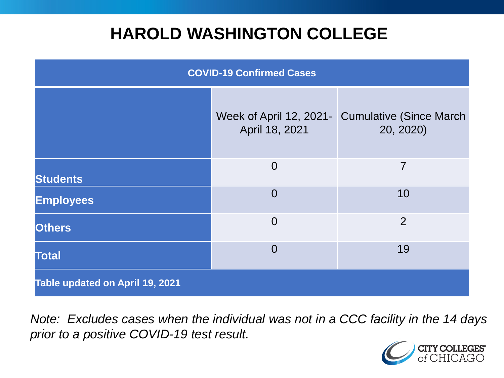# **HAROLD WASHINGTON COLLEGE**

| <b>COVID-19 Confirmed Cases</b> |                                           |                                              |
|---------------------------------|-------------------------------------------|----------------------------------------------|
|                                 | Week of April 12, 2021-<br>April 18, 2021 | <b>Cumulative (Since March)</b><br>20, 2020) |
| <b>Students</b>                 | $\overline{0}$                            | $\overline{7}$                               |
| <b>Employees</b>                | $\Omega$                                  | 10                                           |
| <b>Others</b>                   | $\overline{0}$                            | $\overline{2}$                               |
| <b>Total</b>                    | $\Omega$                                  | 19                                           |
| Table updated on April 19, 2021 |                                           |                                              |

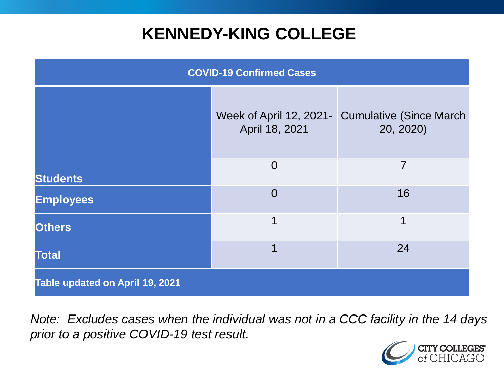# **KENNEDY-KING COLLEGE**

| <b>COVID-19 Confirmed Cases</b> |                                           |                                              |
|---------------------------------|-------------------------------------------|----------------------------------------------|
|                                 | Week of April 12, 2021-<br>April 18, 2021 | <b>Cumulative (Since March)</b><br>20, 2020) |
| <b>Students</b>                 | $\overline{0}$                            | 7                                            |
| <b>Employees</b>                | $\overline{0}$                            | 16                                           |
| <b>Others</b>                   | 1                                         | 1                                            |
| <b>Total</b>                    | 1                                         | 24                                           |
| Table updated on April 19, 2021 |                                           |                                              |

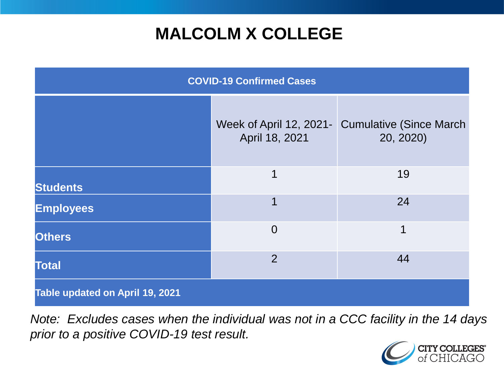# **MALCOLM X COLLEGE**

| <b>COVID-19 Confirmed Cases</b> |                                           |                                             |
|---------------------------------|-------------------------------------------|---------------------------------------------|
|                                 | Week of April 12, 2021-<br>April 18, 2021 | <b>Cumulative (Since March</b><br>20, 2020) |
| <b>Students</b>                 | 1                                         | 19                                          |
| <b>Employees</b>                | 1                                         | 24                                          |
| <b>Others</b>                   | $\overline{0}$                            | 1                                           |
| <b>Total</b>                    | $\overline{2}$                            | 44                                          |
| Table updated on April 19, 2021 |                                           |                                             |

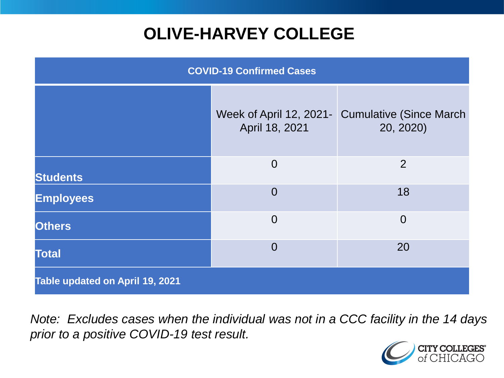# **OLIVE-HARVEY COLLEGE**

| <b>COVID-19 Confirmed Cases</b> |                                           |                                              |
|---------------------------------|-------------------------------------------|----------------------------------------------|
|                                 | Week of April 12, 2021-<br>April 18, 2021 | <b>Cumulative (Since March)</b><br>20, 2020) |
| <b>Students</b>                 | $\overline{0}$                            | 2                                            |
| <b>Employees</b>                | $\Omega$                                  | 18                                           |
| <b>Others</b>                   | $\overline{0}$                            | $\overline{0}$                               |
| <b>Total</b>                    | $\overline{0}$                            | 20                                           |
| Table updated on April 19, 2021 |                                           |                                              |

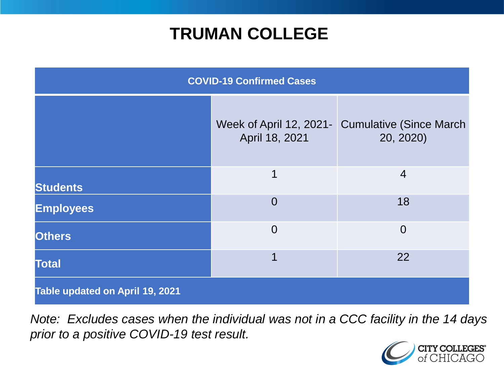# **TRUMAN COLLEGE**

| <b>COVID-19 Confirmed Cases</b> |                                           |                                             |
|---------------------------------|-------------------------------------------|---------------------------------------------|
|                                 | Week of April 12, 2021-<br>April 18, 2021 | <b>Cumulative (Since March</b><br>20, 2020) |
| <b>Students</b>                 | 1                                         | $\overline{4}$                              |
| <b>Employees</b>                | $\overline{0}$                            | 18                                          |
| <b>Others</b>                   | $\overline{0}$                            | $\overline{0}$                              |
| <b>Total</b>                    | 1                                         | 22                                          |
| Table updated on April 19, 2021 |                                           |                                             |

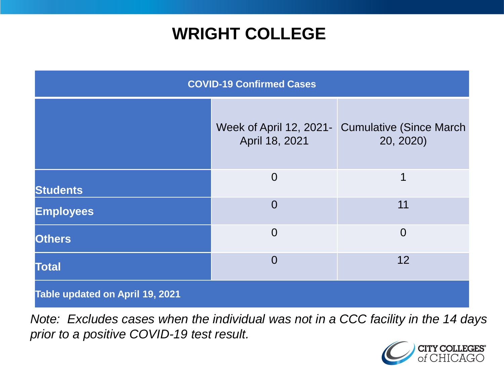# **WRIGHT COLLEGE**

| <b>COVID-19 Confirmed Cases</b> |                                           |                                              |
|---------------------------------|-------------------------------------------|----------------------------------------------|
|                                 | Week of April 12, 2021-<br>April 18, 2021 | <b>Cumulative (Since March)</b><br>20, 2020) |
| <b>Students</b>                 | $\overline{0}$                            | 1                                            |
| <b>Employees</b>                | $\overline{0}$                            | 11                                           |
| <b>Others</b>                   | $\overline{0}$                            | $\overline{0}$                               |
| <b>Total</b>                    | $\Omega$                                  | 12                                           |
| Table updated on April 19, 2021 |                                           |                                              |